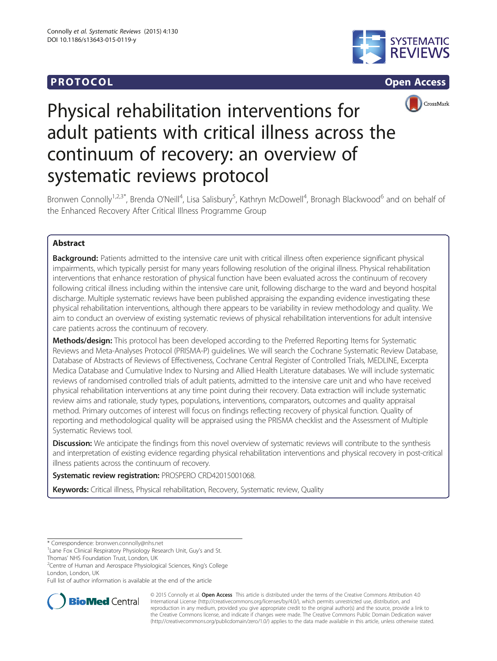# **PROTOCOL CONSUMING ACCESS**







# Physical rehabilitation interventions for adult patients with critical illness across the continuum of recovery: an overview of systematic reviews protocol

Bronwen Connolly<sup>1,2,3\*</sup>, Brenda O'Neill<sup>4</sup>, Lisa Salisbury<sup>5</sup>, Kathryn McDowell<sup>4</sup>, Bronagh Blackwood<sup>6</sup> and on behalf of the Enhanced Recovery After Critical Illness Programme Group

# Abstract

Background: Patients admitted to the intensive care unit with critical illness often experience significant physical impairments, which typically persist for many years following resolution of the original illness. Physical rehabilitation interventions that enhance restoration of physical function have been evaluated across the continuum of recovery following critical illness including within the intensive care unit, following discharge to the ward and beyond hospital discharge. Multiple systematic reviews have been published appraising the expanding evidence investigating these physical rehabilitation interventions, although there appears to be variability in review methodology and quality. We aim to conduct an overview of existing systematic reviews of physical rehabilitation interventions for adult intensive care patients across the continuum of recovery.

Methods/design: This protocol has been developed according to the Preferred Reporting Items for Systematic Reviews and Meta-Analyses Protocol (PRISMA-P) guidelines. We will search the Cochrane Systematic Review Database, Database of Abstracts of Reviews of Effectiveness, Cochrane Central Register of Controlled Trials, MEDLINE, Excerpta Medica Database and Cumulative Index to Nursing and Allied Health Literature databases. We will include systematic reviews of randomised controlled trials of adult patients, admitted to the intensive care unit and who have received physical rehabilitation interventions at any time point during their recovery. Data extraction will include systematic review aims and rationale, study types, populations, interventions, comparators, outcomes and quality appraisal method. Primary outcomes of interest will focus on findings reflecting recovery of physical function. Quality of reporting and methodological quality will be appraised using the PRISMA checklist and the Assessment of Multiple Systematic Reviews tool.

**Discussion:** We anticipate the findings from this novel overview of systematic reviews will contribute to the synthesis and interpretation of existing evidence regarding physical rehabilitation interventions and physical recovery in post-critical illness patients across the continuum of recovery.

Systematic review registration: PROSPERO [CRD42015001068.](http://www.crd.york.ac.uk/PROSPERO/display_record.asp?ID=CRD42015001068)

Keywords: Critical illness, Physical rehabilitation, Recovery, Systematic review, Quality

Thomas' NHS Foundation Trust, London, UK <sup>2</sup>

<sup>2</sup>Centre of Human and Aerospace Physiological Sciences, King's College London, London, UK

Full list of author information is available at the end of the article



© 2015 Connolly et al. Open Access This article is distributed under the terms of the Creative Commons Attribution 4.0 International License [\(http://creativecommons.org/licenses/by/4.0/](http://creativecommons.org/licenses/by/4.0/)), which permits unrestricted use, distribution, and reproduction in any medium, provided you give appropriate credit to the original author(s) and the source, provide a link to the Creative Commons license, and indicate if changes were made. The Creative Commons Public Domain Dedication waiver [\(http://creativecommons.org/publicdomain/zero/1.0/](http://creativecommons.org/publicdomain/zero/1.0/)) applies to the data made available in this article, unless otherwise stated.

<sup>\*</sup> Correspondence: [bronwen.connolly@nhs.net](mailto:bronwen.connolly@nhs.net) <sup>1</sup>

<sup>&</sup>lt;sup>1</sup> Lane Fox Clinical Respiratory Physiology Research Unit, Guy's and St.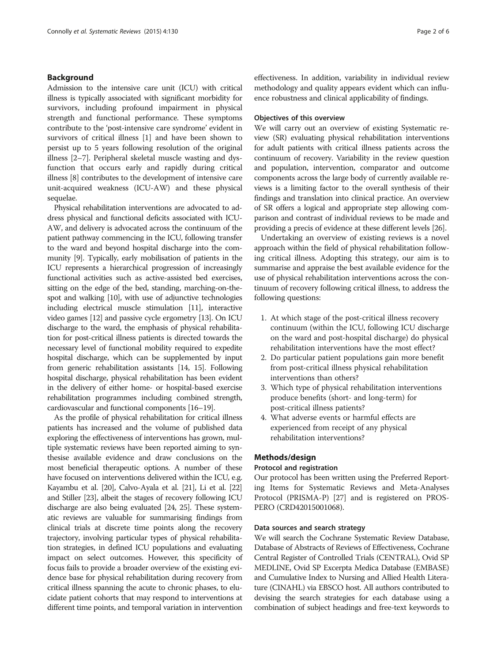# Background

Admission to the intensive care unit (ICU) with critical illness is typically associated with significant morbidity for survivors, including profound impairment in physical strength and functional performance. These symptoms contribute to the 'post-intensive care syndrome' evident in survivors of critical illness [[1](#page-5-0)] and have been shown to persist up to 5 years following resolution of the original illness [[2](#page-5-0)–[7](#page-5-0)]. Peripheral skeletal muscle wasting and dysfunction that occurs early and rapidly during critical illness [[8\]](#page-5-0) contributes to the development of intensive care unit-acquired weakness (ICU-AW) and these physical sequelae.

Physical rehabilitation interventions are advocated to address physical and functional deficits associated with ICU-AW, and delivery is advocated across the continuum of the patient pathway commencing in the ICU, following transfer to the ward and beyond hospital discharge into the community [\[9](#page-5-0)]. Typically, early mobilisation of patients in the ICU represents a hierarchical progression of increasingly functional activities such as active-assisted bed exercises, sitting on the edge of the bed, standing, marching-on-thespot and walking [[10\]](#page-5-0), with use of adjunctive technologies including electrical muscle stimulation [[11](#page-5-0)], interactive video games [[12](#page-5-0)] and passive cycle ergometry [\[13](#page-5-0)]. On ICU discharge to the ward, the emphasis of physical rehabilitation for post-critical illness patients is directed towards the necessary level of functional mobility required to expedite hospital discharge, which can be supplemented by input from generic rehabilitation assistants [\[14](#page-5-0), [15](#page-5-0)]. Following hospital discharge, physical rehabilitation has been evident in the delivery of either home- or hospital-based exercise rehabilitation programmes including combined strength, cardiovascular and functional components [\[16](#page-5-0)–[19\]](#page-5-0).

As the profile of physical rehabilitation for critical illness patients has increased and the volume of published data exploring the effectiveness of interventions has grown, multiple systematic reviews have been reported aiming to synthesise available evidence and draw conclusions on the most beneficial therapeutic options. A number of these have focused on interventions delivered within the ICU, e.g. Kayambu et al. [\[20\]](#page-5-0), Calvo-Ayala et al. [\[21\]](#page-5-0), Li et al. [\[22](#page-5-0)] and Stiller [\[23\]](#page-5-0), albeit the stages of recovery following ICU discharge are also being evaluated [\[24](#page-5-0), [25\]](#page-5-0). These systematic reviews are valuable for summarising findings from clinical trials at discrete time points along the recovery trajectory, involving particular types of physical rehabilitation strategies, in defined ICU populations and evaluating impact on select outcomes. However, this specificity of focus fails to provide a broader overview of the existing evidence base for physical rehabilitation during recovery from critical illness spanning the acute to chronic phases, to elucidate patient cohorts that may respond to interventions at different time points, and temporal variation in intervention effectiveness. In addition, variability in individual review methodology and quality appears evident which can influence robustness and clinical applicability of findings.

## Objectives of this overview

We will carry out an overview of existing Systematic review (SR) evaluating physical rehabilitation interventions for adult patients with critical illness patients across the continuum of recovery. Variability in the review question and population, intervention, comparator and outcome components across the large body of currently available reviews is a limiting factor to the overall synthesis of their findings and translation into clinical practice. An overview of SR offers a logical and appropriate step allowing comparison and contrast of individual reviews to be made and providing a precis of evidence at these different levels [[26](#page-5-0)].

Undertaking an overview of existing reviews is a novel approach within the field of physical rehabilitation following critical illness. Adopting this strategy, our aim is to summarise and appraise the best available evidence for the use of physical rehabilitation interventions across the continuum of recovery following critical illness, to address the following questions:

- 1. At which stage of the post-critical illness recovery continuum (within the ICU, following ICU discharge on the ward and post-hospital discharge) do physical rehabilitation interventions have the most effect?
- 2. Do particular patient populations gain more benefit from post-critical illness physical rehabilitation interventions than others?
- 3. Which type of physical rehabilitation interventions produce benefits (short- and long-term) for post-critical illness patients?
- 4. What adverse events or harmful effects are experienced from receipt of any physical rehabilitation interventions?

# Methods/design

#### Protocol and registration

Our protocol has been written using the Preferred Reporting Items for Systematic Reviews and Meta-Analyses Protocol (PRISMA-P) [\[27](#page-5-0)] and is registered on PROS-PERO ([CRD42015001068](http://www.crd.york.ac.uk/PROSPERO/display_record.asp?ID=CRD42015001068)).

# Data sources and search strategy

We will search the Cochrane Systematic Review Database, Database of Abstracts of Reviews of Effectiveness, Cochrane Central Register of Controlled Trials (CENTRAL), Ovid SP MEDLINE, Ovid SP Excerpta Medica Database (EMBASE) and Cumulative Index to Nursing and Allied Health Literature (CINAHL) via EBSCO host. All authors contributed to devising the search strategies for each database using a combination of subject headings and free-text keywords to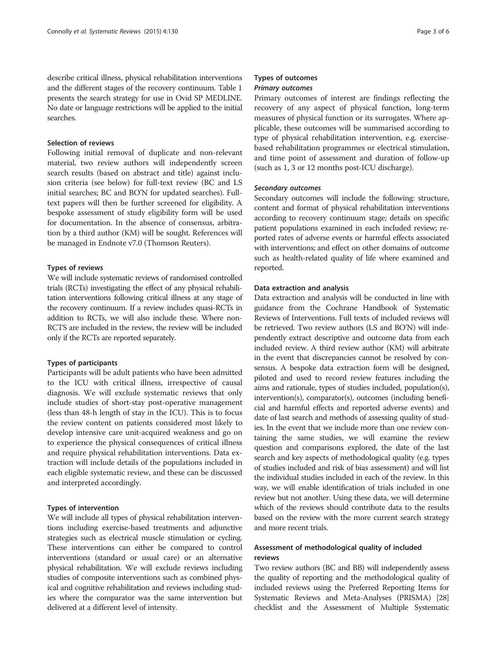describe critical illness, physical rehabilitation interventions and the different stages of the recovery continuum. Table [1](#page-3-0) presents the search strategy for use in Ovid SP MEDLINE. No date or language restrictions will be applied to the initial searches.

## Selection of reviews

Following initial removal of duplicate and non-relevant material, two review authors will independently screen search results (based on abstract and title) against inclusion criteria (see below) for full-text review (BC and LS initial searches; BC and BO'N for updated searches). Fulltext papers will then be further screened for eligibility. A bespoke assessment of study eligibility form will be used for documentation. In the absence of consensus, arbitration by a third author (KM) will be sought. References will be managed in Endnote v7.0 (Thomson Reuters).

## Types of reviews

We will include systematic reviews of randomised controlled trials (RCTs) investigating the effect of any physical rehabilitation interventions following critical illness at any stage of the recovery continuum. If a review includes quasi-RCTs in addition to RCTs, we will also include these. Where non-RCTS are included in the review, the review will be included only if the RCTs are reported separately.

#### Types of participants

Participants will be adult patients who have been admitted to the ICU with critical illness, irrespective of causal diagnosis. We will exclude systematic reviews that only include studies of short-stay post-operative management (less than 48-h length of stay in the ICU). This is to focus the review content on patients considered most likely to develop intensive care unit-acquired weakness and go on to experience the physical consequences of critical illness and require physical rehabilitation interventions. Data extraction will include details of the populations included in each eligible systematic review, and these can be discussed and interpreted accordingly.

## Types of intervention

We will include all types of physical rehabilitation interventions including exercise-based treatments and adjunctive strategies such as electrical muscle stimulation or cycling. These interventions can either be compared to control interventions (standard or usual care) or an alternative physical rehabilitation. We will exclude reviews including studies of composite interventions such as combined physical and cognitive rehabilitation and reviews including studies where the comparator was the same intervention but delivered at a different level of intensity.

# Types of outcomes Primary outcomes

Primary outcomes of interest are findings reflecting the recovery of any aspect of physical function, long-term measures of physical function or its surrogates. Where applicable, these outcomes will be summarised according to type of physical rehabilitation intervention, e.g. exercisebased rehabilitation programmes or electrical stimulation, and time point of assessment and duration of follow-up (such as 1, 3 or 12 months post-ICU discharge).

# Secondary outcomes

Secondary outcomes will include the following: structure, content and format of physical rehabilitation interventions according to recovery continuum stage; details on specific patient populations examined in each included review; reported rates of adverse events or harmful effects associated with interventions; and effect on other domains of outcome such as health-related quality of life where examined and reported.

#### Data extraction and analysis

Data extraction and analysis will be conducted in line with guidance from the Cochrane Handbook of Systematic Reviews of Interventions. Full texts of included reviews will be retrieved. Two review authors (LS and BO'N) will independently extract descriptive and outcome data from each included review. A third review author (KM) will arbitrate in the event that discrepancies cannot be resolved by consensus. A bespoke data extraction form will be designed, piloted and used to record review features including the aims and rationale, types of studies included, population(s), intervention(s), comparator(s), outcomes (including beneficial and harmful effects and reported adverse events) and date of last search and methods of assessing quality of studies. In the event that we include more than one review containing the same studies, we will examine the review question and comparisons explored, the date of the last search and key aspects of methodological quality (e.g. types of studies included and risk of bias assessment) and will list the individual studies included in each of the review. In this way, we will enable identification of trials included in one review but not another. Using these data, we will determine which of the reviews should contribute data to the results based on the review with the more current search strategy and more recent trials.

# Assessment of methodological quality of included reviews

Two review authors (BC and BB) will independently assess the quality of reporting and the methodological quality of included reviews using the Preferred Reporting Items for Systematic Reviews and Meta-Analyses (PRISMA) [\[28](#page-5-0)] checklist and the Assessment of Multiple Systematic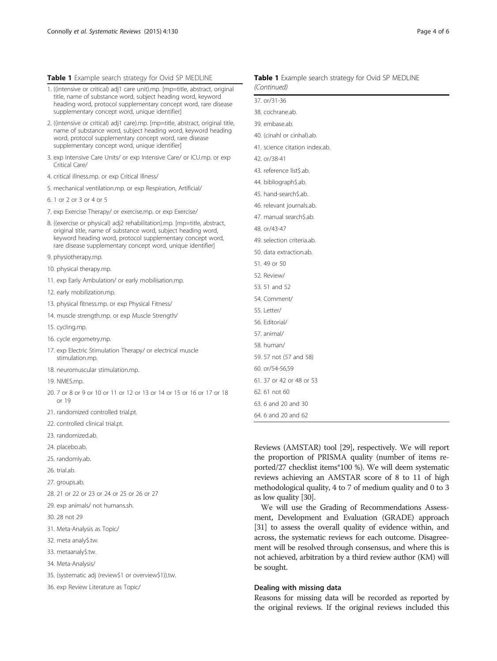# <span id="page-3-0"></span>Table 1 Example search strategy for Ovid SP MEDLINE

- 1. ((intensive or critical) adj1 care unit).mp. [mp=title, abstract, original title, name of substance word, subject heading word, keyword heading word, protocol supplementary concept word, rare disease supplementary concept word, unique identifier]
- 2. ((intensive or critical) adj1 care).mp. [mp=title, abstract, original title, name of substance word, subject heading word, keyword heading word, protocol supplementary concept word, rare disease supplementary concept word, unique identifier]
- 3. exp Intensive Care Units/ or exp Intensive Care/ or ICU.mp. or exp Critical Care/
- 4. critical illness.mp. or exp Critical Illness/
- 5. mechanical ventilation.mp. or exp Respiration, Artificial/
- 6. 1 or 2 or 3 or 4 or 5
- 7. exp Exercise Therapy/ or exercise.mp. or exp Exercise/
- 8. ((exercise or physical) adj2 rehabilitation).mp. [mp=title, abstract, original title, name of substance word, subject heading word, keyword heading word, protocol supplementary concept word, rare disease supplementary concept word, unique identifier]
- 9. physiotherapy.mp.
- 10. physical therapy.mp.
- 11. exp Early Ambulation/ or early mobilisation.mp.
- 12. early mobilization.mp.
- 13. physical fitness.mp. or exp Physical Fitness/
- 14. muscle strength.mp. or exp Muscle Strength/
- 15. cycling.mp.
- 16. cycle ergometry.mp.
- 17. exp Electric Stimulation Therapy/ or electrical muscle stimulation.mp.
- 18. neuromuscular stimulation.mp.
- 19. NMES.mp.
- 20. 7 or 8 or 9 or 10 or 11 or 12 or 13 or 14 or 15 or 16 or 17 or 18 or 19
- 21. randomized controlled trial.pt.
- 22. controlled clinical trial.pt.
- 23. randomized.ab.
- 24. placebo.ab.
- 25. randomly.ab.
- 26. trial.ab.
- 27. groups.ab.
- 28. 21 or 22 or 23 or 24 or 25 or 26 or 27

29. exp animals/ not humans.sh.

- 30. 28 not 29
- 31. Meta-Analysis as Topic/
- 32. meta analy\$.tw.
- 33. metaanaly\$.tw.
- 34. Meta-Analysis/
- 35. (systematic adj (review\$1 or overview\$1)).tw.
- 36. exp Review Literature as Topic/

# Table 1 Example search strategy for Ovid SP MEDLINE (Continued)

| $\sqrt{2}$                     |
|--------------------------------|
| 37. or/31-36                   |
| 38. cochrane.ab.               |
| 39. embase.ab.                 |
| 40. (cinahl or cinhal).ab.     |
| 41. science citation index.ab. |
| 42. or/38-41                   |
| 43. reference list\$.ab.       |
| 44. bibliograph\$.ab.          |
| 45. hand-search\$.ab.          |
| 46. relevant journals.ab.      |
| 47. manual search\$.ab.        |
| 48. or/43-47                   |
| 49. selection criteria.ab.     |
| 50. data extraction.ab.        |
| 51, 49 or 50                   |
| 52. Review/                    |
| 53, 51 and 52                  |
| 54. Comment/                   |
| 55. Letter/                    |
| 56. Editorial/                 |
| 57. animal/                    |
| 58. human/                     |
| 59.57 not (57 and 58)          |
| 60. or/54-56,59                |
| 61, 37 or 42 or 48 or 53       |
| 62, 61 not 60                  |
| 63, 6 and 20 and 30            |
| 64. 6 and 20 and 62            |

Reviews (AMSTAR) tool [\[29\]](#page-5-0), respectively. We will report the proportion of PRISMA quality (number of items reported/27 checklist items\*100 %). We will deem systematic reviews achieving an AMSTAR score of 8 to 11 of high methodological quality, 4 to 7 of medium quality and 0 to 3 as low quality [[30](#page-5-0)].

We will use the Grading of Recommendations Assessment, Development and Evaluation (GRADE) approach [[31](#page-5-0)] to assess the overall quality of evidence within, and across, the systematic reviews for each outcome. Disagreement will be resolved through consensus, and where this is not achieved, arbitration by a third review author (KM) will be sought.

# Dealing with missing data

Reasons for missing data will be recorded as reported by the original reviews. If the original reviews included this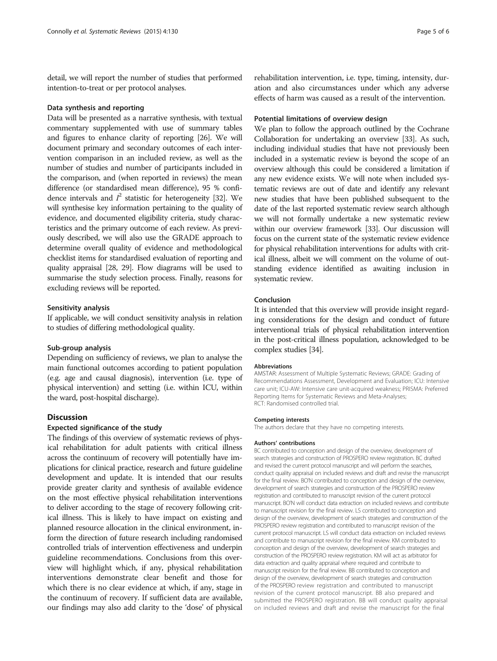detail, we will report the number of studies that performed intention-to-treat or per protocol analyses.

# Data synthesis and reporting

Data will be presented as a narrative synthesis, with textual commentary supplemented with use of summary tables and figures to enhance clarity of reporting [\[26\]](#page-5-0). We will document primary and secondary outcomes of each intervention comparison in an included review, as well as the number of studies and number of participants included in the comparison, and (when reported in reviews) the mean difference (or standardised mean difference), 95 % confidence intervals and  $l^2$  statistic for heterogeneity [\[32](#page-5-0)]. We will synthesise key information pertaining to the quality of evidence, and documented eligibility criteria, study characteristics and the primary outcome of each review. As previously described, we will also use the GRADE approach to determine overall quality of evidence and methodological checklist items for standardised evaluation of reporting and quality appraisal [[28](#page-5-0), [29](#page-5-0)]. Flow diagrams will be used to summarise the study selection process. Finally, reasons for excluding reviews will be reported.

#### Sensitivity analysis

If applicable, we will conduct sensitivity analysis in relation to studies of differing methodological quality.

## Sub-group analysis

Depending on sufficiency of reviews, we plan to analyse the main functional outcomes according to patient population (e.g. age and causal diagnosis), intervention (i.e. type of physical intervention) and setting (i.e. within ICU, within the ward, post-hospital discharge).

# **Discussion**

# Expected significance of the study

The findings of this overview of systematic reviews of physical rehabilitation for adult patients with critical illness across the continuum of recovery will potentially have implications for clinical practice, research and future guideline development and update. It is intended that our results provide greater clarity and synthesis of available evidence on the most effective physical rehabilitation interventions to deliver according to the stage of recovery following critical illness. This is likely to have impact on existing and planned resource allocation in the clinical environment, inform the direction of future research including randomised controlled trials of intervention effectiveness and underpin guideline recommendations. Conclusions from this overview will highlight which, if any, physical rehabilitation interventions demonstrate clear benefit and those for which there is no clear evidence at which, if any, stage in the continuum of recovery. If sufficient data are available, our findings may also add clarity to the 'dose' of physical

rehabilitation intervention, i.e. type, timing, intensity, duration and also circumstances under which any adverse effects of harm was caused as a result of the intervention.

# Potential limitations of overview design

We plan to follow the approach outlined by the Cochrane Collaboration for undertaking an overview [\[33](#page-5-0)]. As such, including individual studies that have not previously been included in a systematic review is beyond the scope of an overview although this could be considered a limitation if any new evidence exists. We will note when included systematic reviews are out of date and identify any relevant new studies that have been published subsequent to the date of the last reported systematic review search although we will not formally undertake a new systematic review within our overview framework [[33](#page-5-0)]. Our discussion will focus on the current state of the systematic review evidence for physical rehabilitation interventions for adults with critical illness, albeit we will comment on the volume of outstanding evidence identified as awaiting inclusion in systematic review.

# Conclusion

It is intended that this overview will provide insight regarding considerations for the design and conduct of future interventional trials of physical rehabilitation intervention in the post-critical illness population, acknowledged to be complex studies [\[34\]](#page-5-0).

#### Abbreviations

AMSTAR: Assessment of Multiple Systematic Reviews; GRADE: Grading of Recommendations Assessment, Development and Evaluation; ICU: Intensive care unit; ICU-AW: Intensive care unit-acquired weakness; PRISMA: Preferred Reporting Items for Systematic Reviews and Meta-Analyses; RCT: Randomised controlled trial.

#### Competing interests

The authors declare that they have no competing interests.

#### Authors' contributions

BC contributed to conception and design of the overview, development of search strategies and construction of PROSPERO review registration. BC drafted and revised the current protocol manuscript and will perform the searches, conduct quality appraisal on included reviews and draft and revise the manuscript for the final review. BO'N contributed to conception and design of the overview, development of search strategies and construction of the PROSPERO review registration and contributed to manuscript revision of the current protocol manuscript. BO'N will conduct data extraction on included reviews and contribute to manuscript revision for the final review. LS contributed to conception and design of the overview, development of search strategies and construction of the PROSPERO review registration and contributed to manuscript revision of the current protocol manuscript. LS will conduct data extraction on included reviews and contribute to manuscript revision for the final review. KM contributed to conception and design of the overview, development of search strategies and construction of the PROSPERO review registration. KM will act as arbitrator for data extraction and quality appraisal where required and contribute to manuscript revision for the final review. BB contributed to conception and design of the overview, development of search strategies and construction of the PROSPERO review registration and contributed to manuscript revision of the current protocol manuscript. BB also prepared and submitted the PROSPERO registration. BB will conduct quality appraisal on included reviews and draft and revise the manuscript for the final